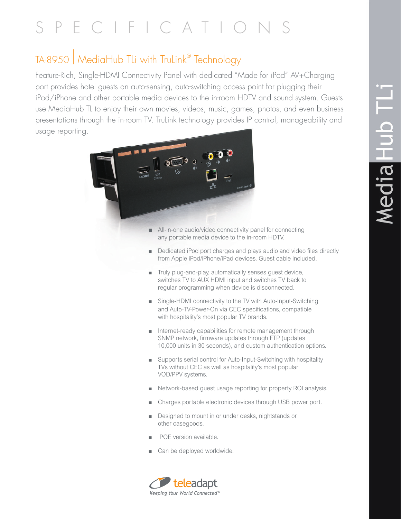## **Nedia Hub TL**

## SPECIFICATIO

## TA-8950 | MediaHub TLi with TruLink® Technology

Feature-Rich, Single-HDMI Connectivity Panel with dedicated "Made for iPod" AV+Charging port provides hotel guests an auto-sensing, auto-switching access point for plugging their iPod/iPhone and other portable media devices to the in-room HDTV and sound system. Guests use MediaHub TL to enjoy their own movies, videos, music, games, photos, and even business presentations through the in-room TV. TruLink technology provides IP control, manageability and usage reporting.



- $\blacksquare$  All-in-one audio/video connectivity panel for connecting any portable media device to the in-room HDTV.
- Dedicated iPod port charges and plays audio and video files directly from Apple iPod/iPhone/iPad devices. Guest cable included.
- <sup>n</sup> Truly plug-and-play, automatically senses guest device, switches TV to AUX HDMI input and switches TV back to regular programming when device is disconnected.
- Single-HDMI connectivity to the TV with Auto-Input-Switching and Auto-TV-Power-On via CEC specifications, compatible with hospitality's most popular TV brands.
- nternet-ready capabilities for remote management through SNMP network, firmware updates through FTP (updates 10,000 units in 30 seconds), and custom authentication options.
- Supports serial control for Auto-Input-Switching with hospitality TVs without CEC as well as hospitality's most popular VOD/PPV systems.
- <sup>n</sup> Network-based guest usage reporting for property ROI analysis.
- Charges portable electronic devices through USB power port.
- Designed to mount in or under desks, nightstands or other casegoods.
- POE version available.
- Can be deployed worldwide.